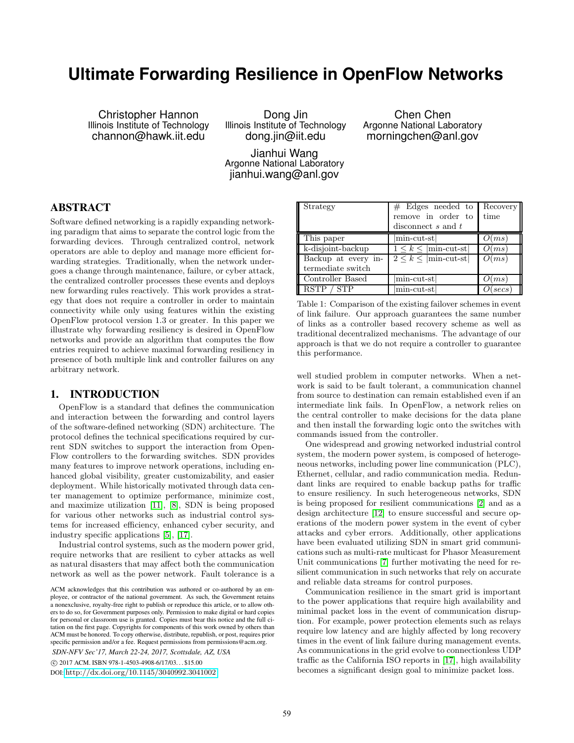# **Ultimate Forwarding Resilience in OpenFlow Networks**

Christopher Hannon Illinois Institute of Technology channon@hawk.iit.edu

Dong Jin Illinois Institute of Technology dong.jin@iit.edu

Chen Chen Argonne National Laboratory morningchen@anl.gov

Jianhui Wang Argonne National Laboratory jianhui.wang@anl.gov

# ABSTRACT

Software defined networking is a rapidly expanding networking paradigm that aims to separate the control logic from the forwarding devices. Through centralized control, network operators are able to deploy and manage more efficient forwarding strategies. Traditionally, when the network undergoes a change through maintenance, failure, or cyber attack, the centralized controller processes these events and deploys new forwarding rules reactively. This work provides a strategy that does not require a controller in order to maintain connectivity while only using features within the existing OpenFlow protocol version 1.3 or greater. In this paper we illustrate why forwarding resiliency is desired in OpenFlow networks and provide an algorithm that computes the flow entries required to achieve maximal forwarding resiliency in presence of both multiple link and controller failures on any arbitrary network.

## 1. INTRODUCTION

OpenFlow is a standard that defines the communication and interaction between the forwarding and control layers of the software-defined networking (SDN) architecture. The protocol defines the technical specifications required by current SDN switches to support the interaction from Open-Flow controllers to the forwarding switches. SDN provides many features to improve network operations, including enhanced global visibility, greater customizability, and easier deployment. While historically motivated through data center management to optimize performance, minimize cost, and maximize utilization [\[11\]](#page-5-0), [\[8\]](#page-5-1), SDN is being proposed for various other networks such as industrial control systems for increased efficiency, enhanced cyber security, and industry specific applications [\[5\]](#page-5-2), [\[17\]](#page-5-3).

Industrial control systems, such as the modern power grid, require networks that are resilient to cyber attacks as well as natural disasters that may affect both the communication network as well as the power network. Fault tolerance is a

DOI: <http://dx.doi.org/10.1145/3040992.3041002>

| Strategy            | $#$ Edges needed to<br>remove in order to<br>disconnect s and t | Recovery<br>time |
|---------------------|-----------------------------------------------------------------|------------------|
| This paper          | $ \text{min-cut-st} $                                           | O(ms)            |
| k-disjoint-backup   | $1 \leq k \leq  \text{min-cut-st} $                             | O(ms)            |
| Backup at every in- | $2 \leq k \leq  \text{min-cut-st} $                             | O(ms)            |
| termediate switch   |                                                                 |                  |
| Controller Based    | $\overline{\text{min-cut-st}}$                                  | O(ms)            |
| RSTP / STP          | $\overline{\text{min}}$ -cut-st                                 | (secs)           |

Table 1: Comparison of the existing failover schemes in event of link failure. Our approach guarantees the same number of links as a controller based recovery scheme as well as traditional decentralized mechanisms. The advantage of our approach is that we do not require a controller to guarantee this performance.

well studied problem in computer networks. When a network is said to be fault tolerant, a communication channel from source to destination can remain established even if an intermediate link fails. In OpenFlow, a network relies on the central controller to make decisions for the data plane and then install the forwarding logic onto the switches with commands issued from the controller.

One widespread and growing networked industrial control system, the modern power system, is composed of heterogeneous networks, including power line communication (PLC), Ethernet, cellular, and radio communication media. Redundant links are required to enable backup paths for traffic to ensure resiliency. In such heterogeneous networks, SDN is being proposed for resilient communications [\[2\]](#page-5-4) and as a design architecture [\[12\]](#page-5-5) to ensure successful and secure operations of the modern power system in the event of cyber attacks and cyber errors. Additionally, other applications have been evaluated utilizing SDN in smart grid communications such as multi-rate multicast for Phasor Measurement Unit communications [\[7\]](#page-5-6) further motivating the need for resilient communication in such networks that rely on accurate and reliable data streams for control purposes.

Communication resilience in the smart grid is important to the power applications that require high availability and minimal packet loss in the event of communication disruption. For example, power protection elements such as relays require low latency and are highly affected by long recovery times in the event of link failure during management events. As communications in the grid evolve to connectionless UDP traffic as the California ISO reports in [\[17\]](#page-5-3), high availability becomes a significant design goal to minimize packet loss.

ACM acknowledges that this contribution was authored or co-authored by an employee, or contractor of the national government. As such, the Government retains a nonexclusive, royalty-free right to publish or reproduce this article, or to allow others to do so, for Government purposes only. Permission to make digital or hard copies for personal or classroom use is granted. Copies must bear this notice and the full citation on the first page. Copyrights for components of this work owned by others than ACM must be honored. To copy otherwise, distribute, republish, or post, requires prior specific permission and/or a fee. Request permissions from permissions@acm.org. *SDN-NFV Sec'17, March 22-24, 2017, Scottsdale, AZ, USA*

c 2017 ACM. ISBN 978-1-4503-4908-6/17/03. . . \$15.00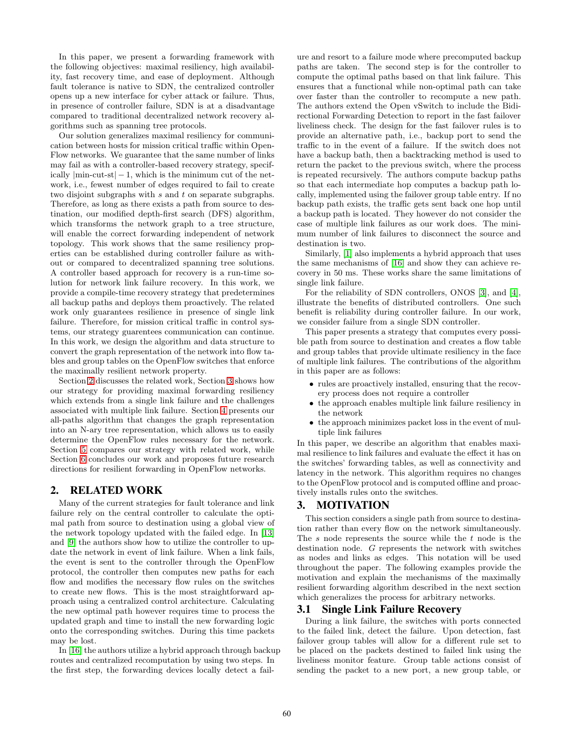In this paper, we present a forwarding framework with the following objectives: maximal resiliency, high availability, fast recovery time, and ease of deployment. Although fault tolerance is native to SDN, the centralized controller opens up a new interface for cyber attack or failure. Thus, in presence of controller failure, SDN is at a disadvantage compared to traditional decentralized network recovery algorithms such as spanning tree protocols.

Our solution generalizes maximal resiliency for communication between hosts for mission critical traffic within Open-Flow networks. We guarantee that the same number of links may fail as with a controller-based recovery strategy, specifically  $|\text{min-cut-st}| - 1$ , which is the minimum cut of the network, i.e., fewest number of edges required to fail to create two disjoint subgraphs with  $s$  and  $t$  on separate subgraphs. Therefore, as long as there exists a path from source to destination, our modified depth-first search (DFS) algorithm, which transforms the network graph to a tree structure, will enable the correct forwarding independent of network topology. This work shows that the same resiliency properties can be established during controller failure as without or compared to decentralized spanning tree solutions. A controller based approach for recovery is a run-time solution for network link failure recovery. In this work, we provide a compile-time recovery strategy that predetermines all backup paths and deploys them proactively. The related work only guarantees resilience in presence of single link failure. Therefore, for mission critical traffic in control systems, our strategy guarentees communication can continue. In this work, we design the algorithm and data structure to convert the graph representation of the network into flow tables and group tables on the OpenFlow switches that enforce the maximally resilient network property.

Section [2](#page-1-0) discusses the related work, Section [3](#page-1-1) shows how our strategy for providing maximal forwarding resiliency which extends from a single link failure and the challenges associated with multiple link failure. Section [4](#page-3-0) presents our all-paths algorithm that changes the graph representation into an N-ary tree representation, which allows us to easily determine the OpenFlow rules necessary for the network. Section [5](#page-3-1) compares our strategy with related work, while Section [6](#page-4-0) concludes our work and proposes future research directions for resilient forwarding in OpenFlow networks.

### <span id="page-1-0"></span>2. RELATED WORK

Many of the current strategies for fault tolerance and link failure rely on the central controller to calculate the optimal path from source to destination using a global view of the network topology updated with the failed edge. In [\[13\]](#page-5-7) and [\[9\]](#page-5-8) the authors show how to utilize the controller to update the network in event of link failure. When a link fails, the event is sent to the controller through the OpenFlow protocol, the controller then computes new paths for each flow and modifies the necessary flow rules on the switches to create new flows. This is the most straightforward approach using a centralized control architecture. Calculating the new optimal path however requires time to process the updated graph and time to install the new forwarding logic onto the corresponding switches. During this time packets may be lost.

In [\[16\]](#page-5-9) the authors utilize a hybrid approach through backup routes and centralized recomputation by using two steps. In the first step, the forwarding devices locally detect a failure and resort to a failure mode where precomputed backup paths are taken. The second step is for the controller to compute the optimal paths based on that link failure. This ensures that a functional while non-optimal path can take over faster than the controller to recompute a new path. The authors extend the Open vSwitch to include the Bidirectional Forwarding Detection to report in the fast failover liveliness check. The design for the fast failover rules is to provide an alternative path, i.e., backup port to send the traffic to in the event of a failure. If the switch does not have a backup bath, then a backtracking method is used to return the packet to the previous switch, where the process is repeated recursively. The authors compute backup paths so that each intermediate hop computes a backup path locally, implemented using the failover group table entry. If no backup path exists, the traffic gets sent back one hop until a backup path is located. They however do not consider the case of multiple link failures as our work does. The minimum number of link failures to disconnect the source and destination is two.

Similarly, [\[1\]](#page-5-10) also implements a hybrid approach that uses the same mechanisms of [\[16\]](#page-5-9) and show they can achieve recovery in 50 ms. These works share the same limitations of single link failure.

For the reliability of SDN controllers, ONOS [\[3\]](#page-5-11), and [\[4\]](#page-5-12), illustrate the benefits of distributed controllers. One such benefit is reliability during controller failure. In our work, we consider failure from a single SDN controller.

This paper presents a strategy that computes every possible path from source to destination and creates a flow table and group tables that provide ultimate resiliency in the face of multiple link failures. The contributions of the algorithm in this paper are as follows:

- rules are proactively installed, ensuring that the recovery process does not require a controller
- the approach enables multiple link failure resiliency in the network
- the approach minimizes packet loss in the event of multiple link failures

In this paper, we describe an algorithm that enables maximal resilience to link failures and evaluate the effect it has on the switches' forwarding tables, as well as connectivity and latency in the network. This algorithm requires no changes to the OpenFlow protocol and is computed offline and proactively installs rules onto the switches.

## <span id="page-1-1"></span>3. MOTIVATION

This section considers a single path from source to destination rather than every flow on the network simultaneously. The s node represents the source while the t node is the destination node. G represents the network with switches as nodes and links as edges. This notation will be used throughout the paper. The following examples provide the motivation and explain the mechanisms of the maximally resilient forwarding algorithm described in the next section which generalizes the process for arbitrary networks.

# 3.1 Single Link Failure Recovery

During a link failure, the switches with ports connected to the failed link, detect the failure. Upon detection, fast failover group tables will allow for a different rule set to be placed on the packets destined to failed link using the liveliness monitor feature. Group table actions consist of sending the packet to a new port, a new group table, or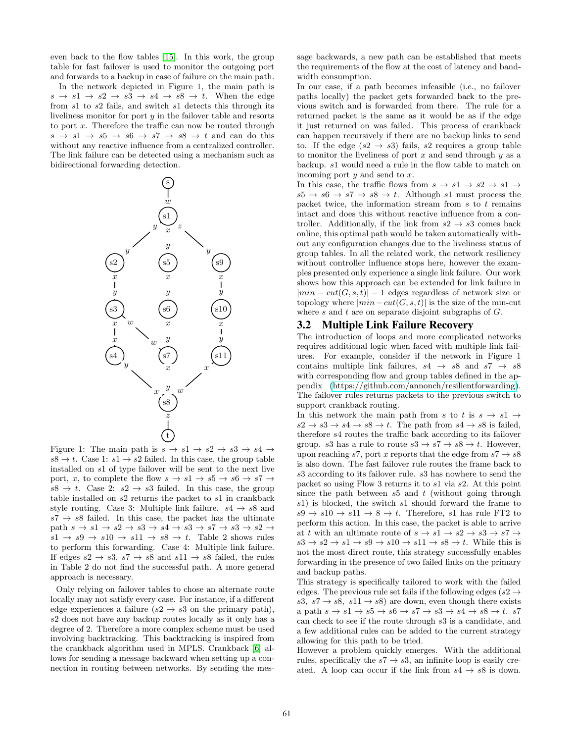even back to the flow tables [\[15\]](#page-5-13). In this work, the group table for fast failover is used to monitor the outgoing port and forwards to a backup in case of failure on the main path.

In the network depicted in Figure 1, the main path is  $s \rightarrow s_1 \rightarrow s_2 \rightarrow s_3 \rightarrow s_4 \rightarrow s_8 \rightarrow t$ . When the edge from s1 to s2 fails, and switch s1 detects this through its liveliness monitor for port y in the failover table and resorts to port x. Therefore the traffic can now be routed through  $s \rightarrow s_1 \rightarrow s_5 \rightarrow s_6 \rightarrow s_7 \rightarrow s_8 \rightarrow t$  and can do this without any reactive influence from a centralized controller. The link failure can be detected using a mechanism such as bidirectional forwarding detection.



Figure 1: The main path is  $s \to s_1 \to s_2 \to s_3 \to s_4 \to$  $s8 \rightarrow t$ . Case 1:  $s1 \rightarrow s2$  failed. In this case, the group table installed on s1 of type failover will be sent to the next live port, x, to complete the flow  $s \to s_1 \to s_2 \to s_6 \to s_7 \to$  $s8 \rightarrow t$ . Case 2:  $s2 \rightarrow s3$  failed. In this case, the group table installed on s2 returns the packet to s1 in crankback style routing. Case 3: Multiple link failure.  $s4 \rightarrow s8$  and  $s7 \rightarrow s8$  failed. In this case, the packet has the ultimate path  $s \to s_1 \to s_2 \to s_3 \to s_4 \to s_3 \to s_7 \to s_3 \to s_2 \to$  $s1 \rightarrow s9 \rightarrow s10 \rightarrow s11 \rightarrow s8 \rightarrow t$ . Table 2 shows rules to perform this forwarding. Case 4: Multiple link failure. If edges  $s_2 \rightarrow s_3$ ,  $s_7 \rightarrow s_8$  and  $s_{11} \rightarrow s_8$  failed, the rules in Table 2 do not find the successful path. A more general approach is necessary.

Only relying on failover tables to chose an alternate route locally may not satisfy every case. For instance, if a different edge experiences a failure  $(s2 \rightarrow s3$  on the primary path), s2 does not have any backup routes locally as it only has a degree of 2. Therefore a more complex scheme must be used involving backtracking. This backtracking is inspired from the crankback algorithm used in MPLS. Crankback [\[6\]](#page-5-14) allows for sending a message backward when setting up a connection in routing between networks. By sending the message backwards, a new path can be established that meets the requirements of the flow at the cost of latency and bandwidth consumption.

In our case, if a path becomes infeasible (i.e., no failover paths locally) the packet gets forwarded back to the previous switch and is forwarded from there. The rule for a returned packet is the same as it would be as if the edge it just returned on was failed. This process of crankback can happen recursively if there are no backup links to send to. If the edge  $(s2 \rightarrow s3)$  fails, s2 requires a group table to monitor the liveliness of port  $x$  and send through  $y$  as a backup. s1 would need a rule in the flow table to match on incoming port  $y$  and send to  $x$ .

In this case, the traffic flows from  $s \to s_1 \to s_2 \to s_1 \to$  $s5 \rightarrow s6 \rightarrow s7 \rightarrow s8 \rightarrow t$ . Although s1 must process the packet twice, the information stream from  $s$  to  $t$  remains intact and does this without reactive influence from a controller. Additionally, if the link from  $s2 \rightarrow s3$  comes back online, this optimal path would be taken automatically without any configuration changes due to the liveliness status of group tables. In all the related work, the network resiliency without controller influence stops here, however the examples presented only experience a single link failure. Our work shows how this approach can be extended for link failure in  $|min - cut(G, s, t)| - 1$  edges regardless of network size or topology where  $|min-cut(G, s, t)|$  is the size of the min-cut where  $s$  and  $t$  are on separate disjoint subgraphs of  $G$ .

#### 3.2 Multiple Link Failure Recovery

The introduction of loops and more complicated networks requires additional logic when faced with multiple link failures. For example, consider if the network in Figure 1 contains multiple link failures,  $s4 \rightarrow s8$  and  $s7 \rightarrow s8$ with corresponding flow and group tables defined in the appendix [\(https://github.com/annonch/resilientforwarding\)](https://github.com/annonch/resilientforwarding). The failover rules returns packets to the previous switch to support crankback routing.

In this network the main path from s to t is  $s \to s_1 \to$  $s_2 \rightarrow s_3 \rightarrow s_4 \rightarrow s_8 \rightarrow t$ . The path from  $s_4 \rightarrow s_8$  is failed, therefore s4 routes the traffic back according to its failover group. s3 has a rule to route  $s3 \rightarrow s7 \rightarrow s8 \rightarrow t$ . However, upon reaching s7, port x reports that the edge from  $s7 \rightarrow s8$ is also down. The fast failover rule routes the frame back to s3 according to its failover rule. s3 has nowhere to send the packet so using Flow 3 returns it to s1 via s2. At this point since the path between  $s5$  and t (without going through s1) is blocked, the switch s1 should forward the frame to  $s9 \rightarrow s10 \rightarrow s11 \rightarrow 8 \rightarrow t$ . Therefore, s1 has rule FT2 to perform this action. In this case, the packet is able to arrive at t with an ultimate route of  $s \to s_1 \to s_2 \to s_3 \to s_7 \to$  $s3 \rightarrow s2 \rightarrow s1 \rightarrow s9 \rightarrow s10 \rightarrow s11 \rightarrow s8 \rightarrow t$ . While this is not the most direct route, this strategy successfully enables forwarding in the presence of two failed links on the primary and backup paths.

This strategy is specifically tailored to work with the failed edges. The previous rule set fails if the following edges ( $s2 \rightarrow$ s3,  $s7 \rightarrow s8$ ,  $s11 \rightarrow s8$ ) are down, even though there exists a path  $s \to s_1 \to s_2 \to s_6 \to s_7 \to s_3 \to s_4 \to s_8 \to t$ . s7 can check to see if the route through s3 is a candidate, and a few additional rules can be added to the current strategy allowing for this path to be tried.

However a problem quickly emerges. With the additional rules, specifically the  $s7 \rightarrow s3$ , an infinite loop is easily created. A loop can occur if the link from  $s4 \rightarrow s8$  is down.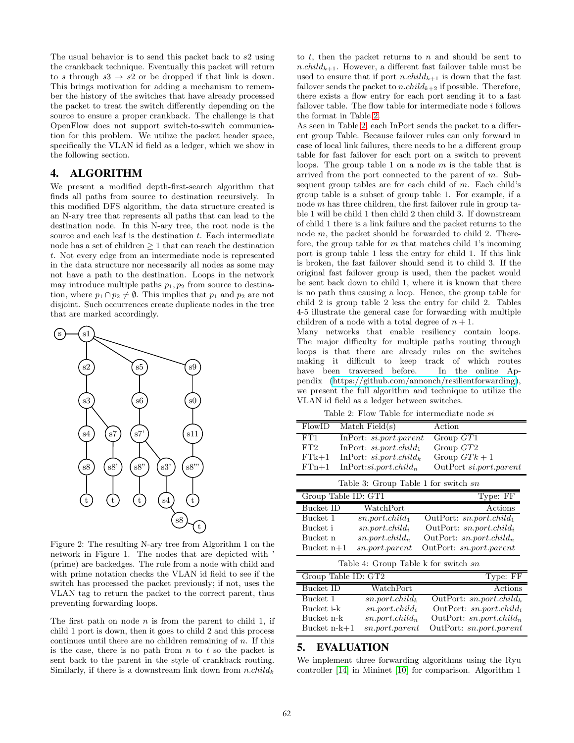The usual behavior is to send this packet back to s2 using the crankback technique. Eventually this packet will return to s through  $s_3 \to s_2$  or be dropped if that link is down. This brings motivation for adding a mechanism to remember the history of the switches that have already processed the packet to treat the switch differently depending on the source to ensure a proper crankback. The challenge is that OpenFlow does not support switch-to-switch communication for this problem. We utilize the packet header space, specifically the VLAN id field as a ledger, which we show in the following section.

### <span id="page-3-0"></span>4. ALGORITHM

We present a modified depth-first-search algorithm that finds all paths from source to destination recursively. In this modified DFS algorithm, the data structure created is an N-ary tree that represents all paths that can lead to the destination node. In this N-ary tree, the root node is the source and each leaf is the destination  $t$ . Each intermediate node has a set of children ≥ 1 that can reach the destination t. Not every edge from an intermediate node is represented in the data structure nor necessarily all nodes as some may not have a path to the destination. Loops in the network may introduce multiple paths  $p_1, p_2$  from source to destination, where  $p_1 \cap p_2 \neq \emptyset$ . This implies that  $p_1$  and  $p_2$  are not disjoint. Such occurrences create duplicate nodes in the tree that are marked accordingly.



Figure 2: The resulting N-ary tree from Algorithm 1 on the network in Figure 1. The nodes that are depicted with (prime) are backedges. The rule from a node with child and with prime notation checks the VLAN id field to see if the switch has processed the packet previously; if not, uses the VLAN tag to return the packet to the correct parent, thus preventing forwarding loops.

The first path on node  $n$  is from the parent to child 1, if child 1 port is down, then it goes to child 2 and this process continues until there are no children remaining of  $n$ . If this is the case, there is no path from  $n$  to  $t$  so the packet is sent back to the parent in the style of crankback routing. Similarly, if there is a downstream link down from  $n.child_k$ 

to  $t$ , then the packet returns to  $n$  and should be sent to n.child<sub>k+1</sub>. However, a different fast failover table must be used to ensure that if port n.child<sub>k+1</sub> is down that the fast failover sends the packet to *n.child<sub>k+2</sub>* if possible. Therefore, there exists a flow entry for each port sending it to a fast failover table. The flow table for intermediate node i follows the format in Table [2.](#page-3-2)

As seen in Table [2,](#page-3-2) each InPort sends the packet to a different group Table. Because failover rules can only forward in case of local link failures, there needs to be a different group table for fast failover for each port on a switch to prevent loops. The group table 1 on a node  $m$  is the table that is arrived from the port connected to the parent of m. Subsequent group tables are for each child of  $m$ . Each child's group table is a subset of group table 1. For example, if a node  $m$  has three children, the first failover rule in group table 1 will be child 1 then child 2 then child 3. If downstream of child 1 there is a link failure and the packet returns to the node m, the packet should be forwarded to child 2. Therefore, the group table for  $m$  that matches child 1's incoming port is group table 1 less the entry for child 1. If this link is broken, the fast failover should send it to child 3. If the original fast failover group is used, then the packet would be sent back down to child 1, where it is known that there is no path thus causing a loop. Hence, the group table for child 2 is group table 2 less the entry for child 2. Tables 4-5 illustrate the general case for forwarding with multiple children of a node with a total degree of  $n + 1$ .

Many networks that enable resiliency contain loops. The major difficulty for multiple paths routing through loops is that there are already rules on the switches making it difficult to keep track of which routes have been traversed before. In the online Appendix [\(https://github.com/annonch/resilientforwarding\)](https://github.com/annonch/resilientforwarding), we present the full algorithm and technique to utilize the VLAN id field as a ledger between switches.

Table 2: Flow Table for intermediate node si

<span id="page-3-2"></span>

| rable 2. Flow rable for intermediate floue $\mathfrak{so}$ |                                   |                             |  |  |  |  |  |  |
|------------------------------------------------------------|-----------------------------------|-----------------------------|--|--|--|--|--|--|
| FlowID                                                     | Match $Field(s)$                  | Action                      |  |  |  |  |  |  |
| FT1                                                        | In Port: $s$ <i>i.port.parent</i> | Group $GT1$                 |  |  |  |  |  |  |
| FT2                                                        | In Port: $si. port. child_1$      | Group GT2                   |  |  |  |  |  |  |
| $FTk+1$                                                    | InPort: $si.port. child_k$        | Group $GTk+1$               |  |  |  |  |  |  |
| $FTn+1$                                                    | $InPort:si. port. child_n$        | OutPort si.port.parent      |  |  |  |  |  |  |
| Table 3: Group Table 1 for switch sn                       |                                   |                             |  |  |  |  |  |  |
| Group Table ID: GT1<br>Type: FF                            |                                   |                             |  |  |  |  |  |  |
| Bucket ID                                                  | WatchPort                         | Actions                     |  |  |  |  |  |  |
| Bucket 1                                                   | $sn. port. child_1$               | OutPort: $sn.port. child_1$ |  |  |  |  |  |  |
| Bucket i                                                   | $sn. port. child_i$               | OutPort: $sn.port. child_i$ |  |  |  |  |  |  |
| Bucket n                                                   | $sn. port. child_n$               | OutPort: $sn.port. child_n$ |  |  |  |  |  |  |
| Bucket $n+1$                                               | sn. port. parent                  | OutPort: sn.port.parent     |  |  |  |  |  |  |
| Table 4: Group Table k for switch sn                       |                                   |                             |  |  |  |  |  |  |
| Group Table ID: GT2<br>Type: FF                            |                                   |                             |  |  |  |  |  |  |
| Bucket ID                                                  | $\operatorname{WatchPort}$        | Actions                     |  |  |  |  |  |  |
| Bucket 1                                                   | $sn. port. child_k$               | OutPort: $sn.port. child_k$ |  |  |  |  |  |  |
| Bucket i-k                                                 | $sn. port. child_i$               | OutPort: $sn.port. child_i$ |  |  |  |  |  |  |
| Bucket n-k                                                 | $sn. port. child_n$               | OutPort: $sn.port. child_n$ |  |  |  |  |  |  |
| Bucket $n-k+1$                                             | sn. port. parent                  | OutPort: sn.port.parent     |  |  |  |  |  |  |

# <span id="page-3-1"></span>5. EVALUATION

We implement three forwarding algorithms using the Ryu controller [\[14\]](#page-5-15) in Mininet [\[10\]](#page-5-16) for comparison. Algorithm 1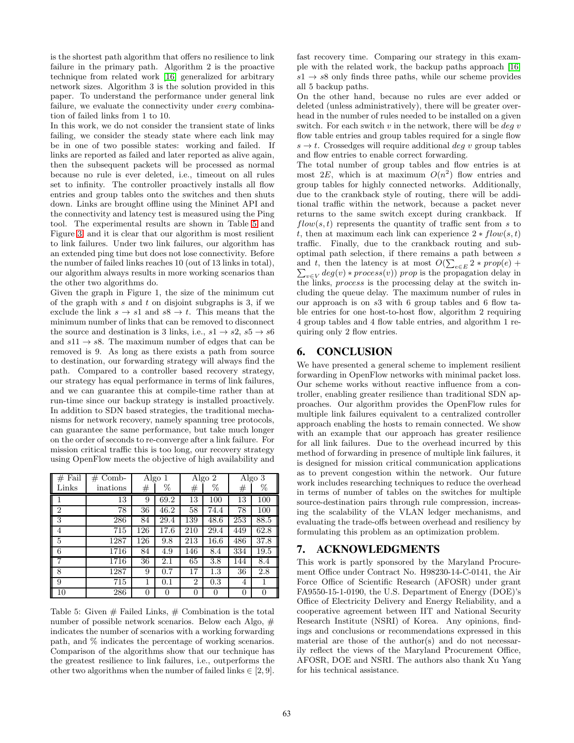is the shortest path algorithm that offers no resilience to link failure in the primary path. Algorithm 2 is the proactive technique from related work [\[16\]](#page-5-9) generalized for arbitrary network sizes. Algorithm 3 is the solution provided in this paper. To understand the performance under general link failure, we evaluate the connectivity under *every* combination of failed links from 1 to 10.

In this work, we do not consider the transient state of links failing, we consider the steady state where each link may be in one of two possible states: working and failed. If links are reported as failed and later reported as alive again, then the subsequent packets will be processed as normal because no rule is ever deleted, i.e., timeout on all rules set to infinity. The controller proactively installs all flow entries and group tables onto the switches and then shuts down. Links are brought offline using the Mininet API and the connectivity and latency test is measured using the Ping tool. The experimental results are shown in Table [5](#page-4-1) and Figure [3,](#page-5-17) and it is clear that our algorithm is most resilient to link failures. Under two link failures, our algorithm has an extended ping time but does not lose connectivity. Before the number of failed links reaches 10 (out of 13 links in total), our algorithm always results in more working scenarios than the other two algorithms do.

Given the graph in Figure 1, the size of the minimum cut of the graph with  $s$  and  $t$  on disjoint subgraphs is 3, if we exclude the link  $s \to s1$  and  $s8 \to t$ . This means that the minimum number of links that can be removed to disconnect the source and destination is 3 links, i.e.,  $s1 \rightarrow s2$ ,  $s5 \rightarrow s6$ and  $s11 \rightarrow s8$ . The maximum number of edges that can be removed is 9. As long as there exists a path from source to destination, our forwarding strategy will always find the path. Compared to a controller based recovery strategy, our strategy has equal performance in terms of link failures, and we can guarantee this at compile-time rather than at run-time since our backup strategy is installed proactively. In addition to SDN based strategies, the traditional mechanisms for network recovery, namely spanning tree protocols, can guarantee the same performance, but take much longer on the order of seconds to re-converge after a link failure. For mission critical traffic this is too long, our recovery strategy using OpenFlow meets the objective of high availability and

<span id="page-4-1"></span>

| $#$ Fail       | $#$ Comb- | Algo 1  |         | Algo 2         |      | Algo 3  |      |
|----------------|-----------|---------|---------|----------------|------|---------|------|
| Links          | inations  | $_{\#}$ | %       | $_{\#}$        | %    | $_{\#}$ | %    |
|                | 13        | 9       | 69.2    | 13             | 100  | 13      | 100  |
| $\overline{2}$ | 78        | 36      | 46.2    | 58             | 74.4 | 78      | 100  |
| 3              | 286       | 84      | 29.4    | 139            | 48.6 | 253     | 88.5 |
| 4              | 715       | 126     | 17.6    | 210            | 29.4 | 449     | 62.8 |
| 5              | 1287      | 126     | 9.8     | 213            | 16.6 | 486     | 37.8 |
| 6              | 1716      | 84      | 4.9     | 146            | 8.4  | 334     | 19.5 |
|                | 1716      | 36      | $2.1\,$ | 65             | 3.8  | 144     | 8.4  |
| 8              | 1287      | 9       | 0.7     | 17             | 1.3  | 36      | 2.8  |
| 9              | 715       | 1       | 0.1     | 2              | 0.3  | 4       |      |
| 10             | 286       | 0       | 0       | $\overline{0}$ | 0    | 0       | 0    |

Table 5: Given  $#$  Failed Links,  $#$  Combination is the total number of possible network scenarios. Below each Algo,  $#$ indicates the number of scenarios with a working forwarding path, and % indicates the percentage of working scenarios. Comparison of the algorithms show that our technique has the greatest resilience to link failures, i.e., outperforms the other two algorithms when the number of failed links  $\in [2, 9]$ .

fast recovery time. Comparing our strategy in this example with the related work, the backup paths approach [\[16\]](#page-5-9)  $s1 \rightarrow s8$  only finds three paths, while our scheme provides all 5 backup paths.

On the other hand, because no rules are ever added or deleted (unless administratively), there will be greater overhead in the number of rules needed to be installed on a given switch. For each switch  $v$  in the network, there will be  $deg\ v$ flow table entries and group tables required for a single flow  $s \to t$ . Crossedges will require additional deg v group tables and flow entries to enable correct forwarding.

The total number of group tables and flow entries is at most  $2E$ , which is at maximum  $O(n^2)$  flow entries and group tables for highly connected networks. Additionally, due to the crankback style of routing, there will be additional traffic within the network, because a packet never returns to the same switch except during crankback. If  $flow(s, t)$  represents the quantity of traffic sent from s to t, then at maximum each link can experience  $2 * flow(s, t)$ traffic. Finally, due to the crankback routing and suboptimal path selection, if there remains a path between s and t, then the latency is at most  $O(\sum_{e \in E} 2 * prop(e) +$  $\sum_{v \in V} deg(v) * process(v)$  prop is the propagation delay in the links, process is the processing delay at the switch including the queue delay. The maximum number of rules in our approach is on s3 with 6 group tables and 6 flow table entries for one host-to-host flow, algorithm 2 requiring 4 group tables and 4 flow table entries, and algorithm 1 requiring only 2 flow entries.

## <span id="page-4-0"></span>6. CONCLUSION

We have presented a general scheme to implement resilient forwarding in OpenFlow networks with minimal packet loss. Our scheme works without reactive influence from a controller, enabling greater resilience than traditional SDN approaches. Our algorithm provides the OpenFlow rules for multiple link failures equivalent to a centralized controller approach enabling the hosts to remain connected. We show with an example that our approach has greater resilience for all link failures. Due to the overhead incurred by this method of forwarding in presence of multiple link failures, it is designed for mission critical communication applications as to prevent congestion within the network. Our future work includes researching techniques to reduce the overhead in terms of number of tables on the switches for multiple source-destination pairs through rule compression, increasing the scalability of the VLAN ledger mechanisms, and evaluating the trade-offs between overhead and resiliency by formulating this problem as an optimization problem.

## 7. ACKNOWLEDGMENTS

This work is partly sponsored by the Maryland Procurement Office under Contract No. H98230-14-C-0141, the Air Force Office of Scientific Research (AFOSR) under grant FA9550-15-1-0190, the U.S. Department of Energy (DOE)'s Office of Electricity Delivery and Energy Reliability, and a cooperative agreement between IIT and National Security Research Institute (NSRI) of Korea. Any opinions, findings and conclusions or recommendations expressed in this material are those of the author(s) and do not necessarily reflect the views of the Maryland Procurement Office, AFOSR, DOE and NSRI. The authors also thank Xu Yang for his technical assistance.